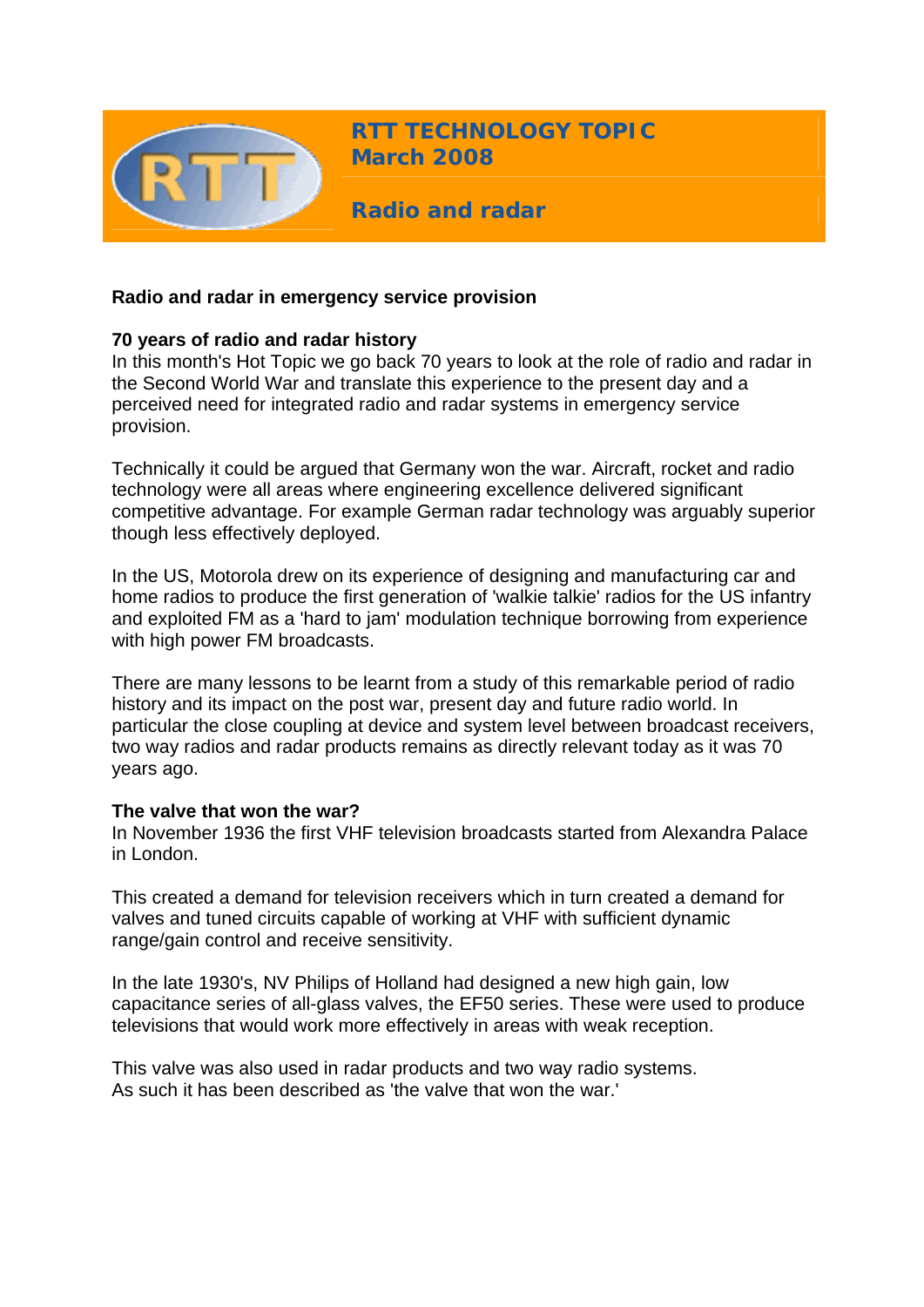

**RTT TECHNOLOGY TOPIC March 2008**

**Radio and radar** 

## **Radio and radar in emergency service provision**

## **70 years of radio and radar history**

In this month's Hot Topic we go back 70 years to look at the role of radio and radar in the Second World War and translate this experience to the present day and a perceived need for integrated radio and radar systems in emergency service provision.

Technically it could be argued that Germany won the war. Aircraft, rocket and radio technology were all areas where engineering excellence delivered significant competitive advantage. For example German radar technology was arguably superior though less effectively deployed.

In the US, Motorola drew on its experience of designing and manufacturing car and home radios to produce the first generation of 'walkie talkie' radios for the US infantry and exploited FM as a 'hard to jam' modulation technique borrowing from experience with high power FM broadcasts.

There are many lessons to be learnt from a study of this remarkable period of radio history and its impact on the post war, present day and future radio world. In particular the close coupling at device and system level between broadcast receivers, two way radios and radar products remains as directly relevant today as it was 70 years ago.

## **The valve that won the war?**

In November 1936 the first VHF television broadcasts started from Alexandra Palace in London.

This created a demand for television receivers which in turn created a demand for valves and tuned circuits capable of working at VHF with sufficient dynamic range/gain control and receive sensitivity.

In the late 1930's, NV Philips of Holland had designed a new high gain, low capacitance series of all-glass valves, the EF50 series. These were used to produce televisions that would work more effectively in areas with weak reception.

This valve was also used in radar products and two way radio systems. As such it has been described as 'the valve that won the war.'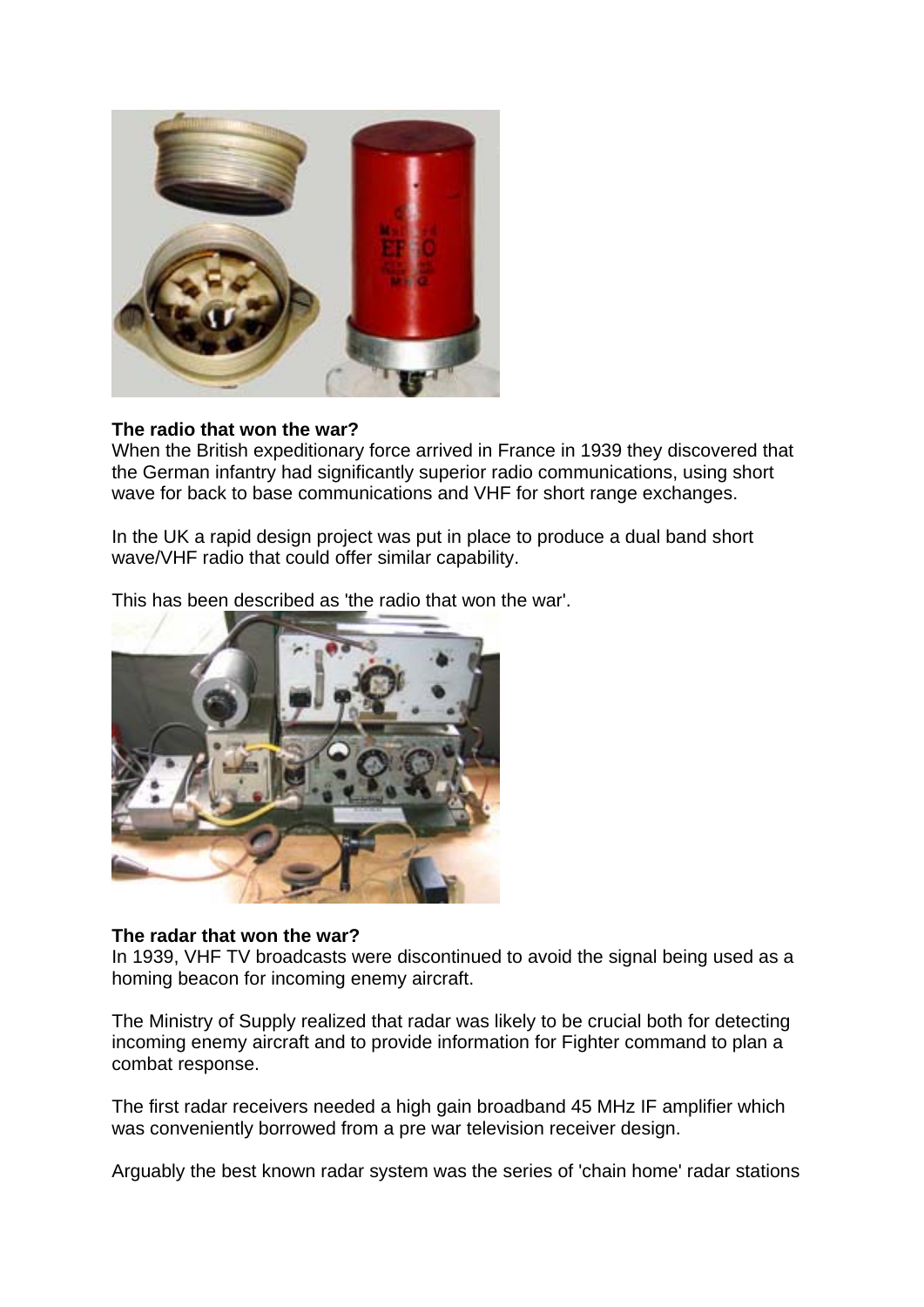

### **The radio that won the war?**

When the British expeditionary force arrived in France in 1939 they discovered that the German infantry had significantly superior radio communications, using short wave for back to base communications and VHF for short range exchanges.

In the UK a rapid design project was put in place to produce a dual band short wave/VHF radio that could offer similar capability.

This has been described as 'the radio that won the war'.



#### **The radar that won the war?**

In 1939, VHF TV broadcasts were discontinued to avoid the signal being used as a homing beacon for incoming enemy aircraft.

The Ministry of Supply realized that radar was likely to be crucial both for detecting incoming enemy aircraft and to provide information for Fighter command to plan a combat response.

The first radar receivers needed a high gain broadband 45 MHz IF amplifier which was conveniently borrowed from a pre war television receiver design.

Arguably the best known radar system was the series of 'chain home' radar stations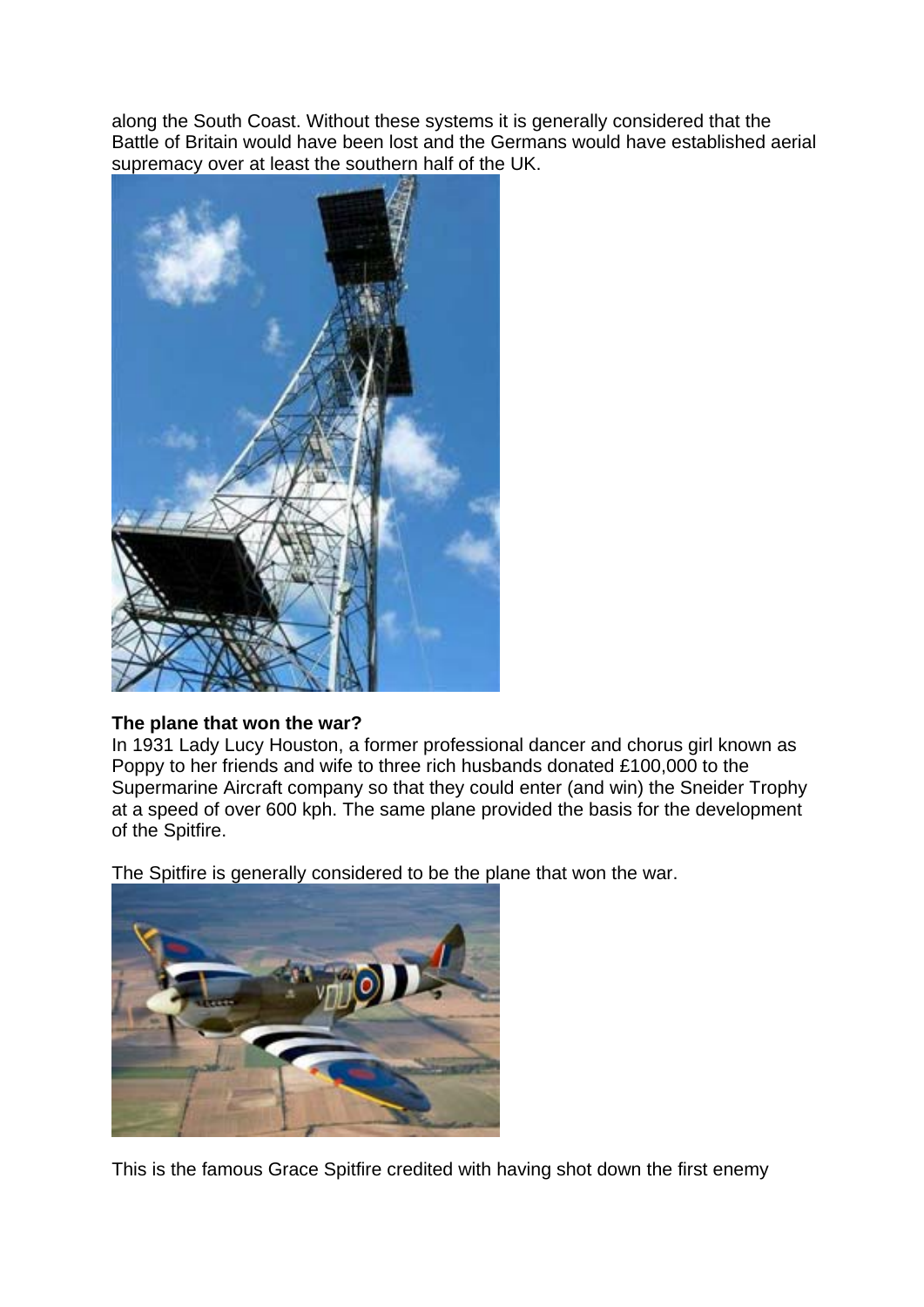along the South Coast. Without these systems it is generally considered that the Battle of Britain would have been lost and the Germans would have established aerial supremacy over at least the southern half of the UK.



# **The plane that won the war?**

In 1931 Lady Lucy Houston, a former professional dancer and chorus girl known as Poppy to her friends and wife to three rich husbands donated £100,000 to the Supermarine Aircraft company so that they could enter (and win) the Sneider Trophy at a speed of over 600 kph. The same plane provided the basis for the development of the Spitfire.

The Spitfire is generally considered to be the plane that won the war.



This is the famous Grace Spitfire credited with having shot down the first enemy